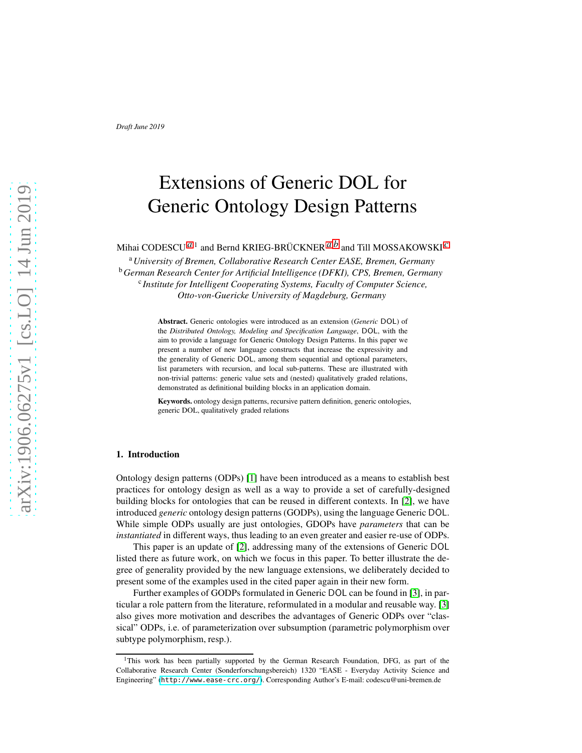# Extensions of Generic DOL for Generic Ontology Design Patterns

<span id="page-0-0"></span>Mihai CODESCU *[a](#page-0-0)*,<sup>1</sup> and Bernd KRIEG-BRÜCKNER*[a](#page-0-0)*,*[b](#page-0-1)* and Till MOSSAKOWSKI *[c](#page-0-2)*

<span id="page-0-2"></span><span id="page-0-1"></span><sup>a</sup>*University of Bremen, Collaborative Research Center EASE, Bremen, Germany* <sup>b</sup>*German Research Center for Artificial Intelligence (DFKI), CPS, Bremen, Germany* c *Institute for Intelligent Cooperating Systems, Faculty of Computer Science, Otto-von-Guericke University of Magdeburg, Germany*

> Abstract. Generic ontologies were introduced as an extension (*Generic* DOL) of the *Distributed Ontology, Modeling and Specification Language*, DOL, with the aim to provide a language for Generic Ontology Design Patterns. In this paper we present a number of new language constructs that increase the expressivity and the generality of Generic DOL, among them sequential and optional parameters, list parameters with recursion, and local sub-patterns. These are illustrated with non-trivial patterns: generic value sets and (nested) qualitatively graded relations, demonstrated as definitional building blocks in an application domain.

Keywords. ontology design patterns, recursive pattern definition, generic ontologies, generic DOL, qualitatively graded relations

### 1. Introduction

Ontology design patterns (ODPs) [1] have been introduced as a means to establish best practices for ontology design as well as a way to provide a set of carefully-designed building blocks for ontologies that can be reused in different contexts. In [2], we have introduced *generic* ontology design patterns (GODPs), using the language Generic DOL. While simple ODPs usually are just ontologies, GDOPs have *parameters* that can be *instantiated* in different ways, thus leading to an even greater and easier re-use of ODPs.

This paper is an update of [2], addressing many of the extensions of Generic DOL listed there as future work, on which we focus in this paper. To better illustrate the degree of generality provided by the new language extensions, we deliberately decided to present some of the examples used in the cited paper again in their new form.

Further examples of GODPs formulated in Generic DOL can be found in [\[3\]](#page-10-0), in particular a role pattern from the literature, reformulated in a modular and reusable way. [\[3\]](#page-10-0) also gives more motivation and describes the advantages of Generic ODPs over "classical" ODPs, i.e. of parameterization over subsumption (parametric polymorphism over subtype polymorphism, resp.).

<sup>&</sup>lt;sup>1</sup>This work has been partially supported by the German Research Foundation, DFG, as part of the Collaborative Research Center (Sonderforschungsbereich) 1320 "EASE - Everyday Activity Science and Engineering" (<http://www.ease-crc.org/>). Corresponding Author's E-mail: codescu@uni-bremen.de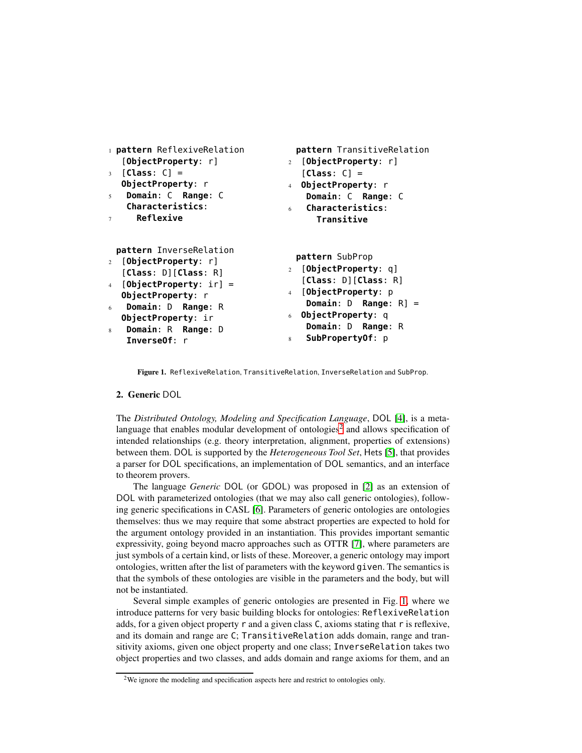| 1 pattern ReflexiveRelation                                                                                                                                                                                                                                            | pattern TransitiveRelation                                                                                                                                                                                  |
|------------------------------------------------------------------------------------------------------------------------------------------------------------------------------------------------------------------------------------------------------------------------|-------------------------------------------------------------------------------------------------------------------------------------------------------------------------------------------------------------|
| [ObjectProperty: r]                                                                                                                                                                                                                                                    | 2 [ObjectProperty: r]                                                                                                                                                                                       |
| $[Class: C] =$<br>$\overline{\mathbf{3}}$<br>ObjectProperty: r                                                                                                                                                                                                         | $[Class: C] =$<br>4 ObjectProperty: r                                                                                                                                                                       |
| Domain: C Range: C<br>5 <sup>1</sup>                                                                                                                                                                                                                                   | Domain: C Range: C                                                                                                                                                                                          |
| Characteristics:                                                                                                                                                                                                                                                       | Characteristics:<br>6 .                                                                                                                                                                                     |
| <b>Reflexive</b><br>$\tau$                                                                                                                                                                                                                                             | Transitive                                                                                                                                                                                                  |
| pattern InverseRelation<br>2 [ObjectProperty: r]<br>$[Class: D]$ [Class: R]<br>$[ObjectProperty: \forallr] =$<br>$\overline{4}$<br>ObjectProperty: r<br><b>Domain:</b> D <b>Range:</b> R<br>6<br>ObjectProperty: ir<br>Domain: R Range: D<br>8<br><b>Inverse0f</b> : r | pattern SubProp<br>2 [ObjectProperty: q]<br>[Class: D] [Class: R]<br>4 [ObjectProperty: p<br><b>Domain:</b> $D$ <b>Range:</b> $R$ ] =<br>6 ObjectProperty: q<br>Domain: D Range: R<br>SubPropertyOf: p<br>8 |
|                                                                                                                                                                                                                                                                        |                                                                                                                                                                                                             |

<span id="page-1-1"></span>Figure 1. ReflexiveRelation, TransitiveRelation, InverseRelation and SubProp.

## 2. Generic DOL

The *Distributed Ontology, Modeling and Specification Language*, DOL [\[4\]](#page-10-1), is a meta-language that enables modular development of ontologies<sup>[2](#page-1-0)</sup> and allows specification of intended relationships (e.g. theory interpretation, alignment, properties of extensions) between them. DOL is supported by the *Heterogeneous Tool Set*, Hets [5], that provides a parser for DOL specifications, an implementation of DOL semantics, and an interface to theorem provers.

The language *Generic* DOL (or GDOL) was proposed in [2] as an extension of DOL with parameterized ontologies (that we may also call generic ontologies), following generic specifications in CASL [\[6\]](#page-10-2). Parameters of generic ontologies are ontologies themselves: thus we may require that some abstract properties are expected to hold for the argument ontology provided in an instantiation. This provides important semantic expressivity, going beyond macro approaches such as OTTR [7], where parameters are just symbols of a certain kind, or lists of these. Moreover, a generic ontology may import ontologies, written after the list of parameters with the keyword given. The semantics is that the symbols of these ontologies are visible in the parameters and the body, but will not be instantiated.

Several simple examples of generic ontologies are presented in Fig. [1,](#page-1-1) where we introduce patterns for very basic building blocks for ontologies: ReflexiveRelation adds, for a given object property r and a given class C, axioms stating that r is reflexive, and its domain and range are C; TransitiveRelation adds domain, range and transitivity axioms, given one object property and one class; InverseRelation takes two object properties and two classes, and adds domain and range axioms for them, and an

<span id="page-1-0"></span><sup>2</sup>We ignore the modeling and specification aspects here and restrict to ontologies only.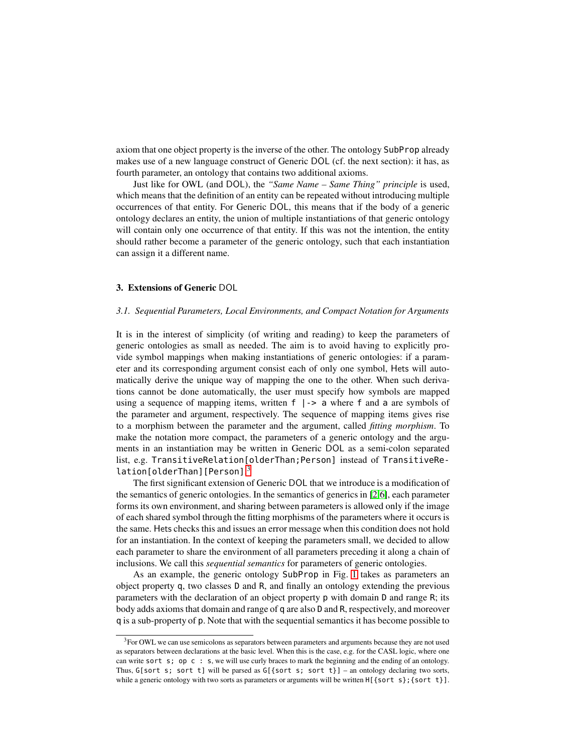axiom that one object property is the inverse of the other. The ontology SubProp already makes use of a new language construct of Generic DOL (cf. the next section): it has, as fourth parameter, an ontology that contains two additional axioms.

Just like for OWL (and DOL), the *"Same Name – Same Thing" principle* is used, which means that the definition of an entity can be repeated without introducing multiple occurrences of that entity. For Generic DOL, this means that if the body of a generic ontology declares an entity, the union of multiple instantiations of that generic ontology will contain only one occurrence of that entity. If this was not the intention, the entity should rather become a parameter of the generic ontology, such that each instantiation can assign it a different name.

## 3. Extensions of Generic DOL

#### *3.1. Sequential Parameters, Local Environments, and Compact Notation for Arguments*

It is in the interest of simplicity (of writing and reading) to keep the parameters of generic ontologies as small as needed. The aim is to avoid having to explicitly provide symbol mappings when making instantiations of generic ontologies: if a parameter and its corresponding argument consist each of only one symbol, Hets will automatically derive the unique way of mapping the one to the other. When such derivations cannot be done automatically, the user must specify how symbols are mapped using a sequence of mapping items, written  $f \mid -\gt$  a where  $f$  and a are symbols of the parameter and argument, respectively. The sequence of mapping items gives rise to a morphism between the parameter and the argument, called *fitting morphism*. To make the notation more compact, the parameters of a generic ontology and the arguments in an instantiation may be written in Generic DOL as a semi-colon separated list, e.g. TransitiveRelation[olderThan;Person] instead of TransitiveRe-lation[olderThan][Person].<sup>[3](#page-2-0)</sup>

The first significant extension of Generic DOL that we introduce is a modification of the semantics of generic ontologies. In the semantics of generics in [2[,6\]](#page-10-2), each parameter forms its own environment, and sharing between parameters is allowed only if the image of each shared symbol through the fitting morphisms of the parameters where it occurs is the same. Hets checks this and issues an error message when this condition does not hold for an instantiation. In the context of keeping the parameters small, we decided to allow each parameter to share the environment of all parameters preceding it along a chain of inclusions. We call this *sequential semantics* for parameters of generic ontologies.

As an example, the generic ontology SubProp in Fig. [1](#page-1-1) takes as parameters an object property q, two classes D and R, and finally an ontology extending the previous parameters with the declaration of an object property p with domain D and range R; its body adds axioms that domain and range of q are also D and R, respectively, and moreover q is a sub-property of p. Note that with the sequential semantics it has become possible to

<span id="page-2-0"></span><sup>&</sup>lt;sup>3</sup>For OWL we can use semicolons as separators between parameters and arguments because they are not used as separators between declarations at the basic level. When this is the case, e.g. for the CASL logic, where one can write sort s; op c : s, we will use curly braces to mark the beginning and the ending of an ontology. Thus, G[sort s; sort t] will be parsed as  $G$ [{sort s; sort t}] – an ontology declaring two sorts, while a generic ontology with two sorts as parameters or arguments will be written H[{sort s}; {sort t}].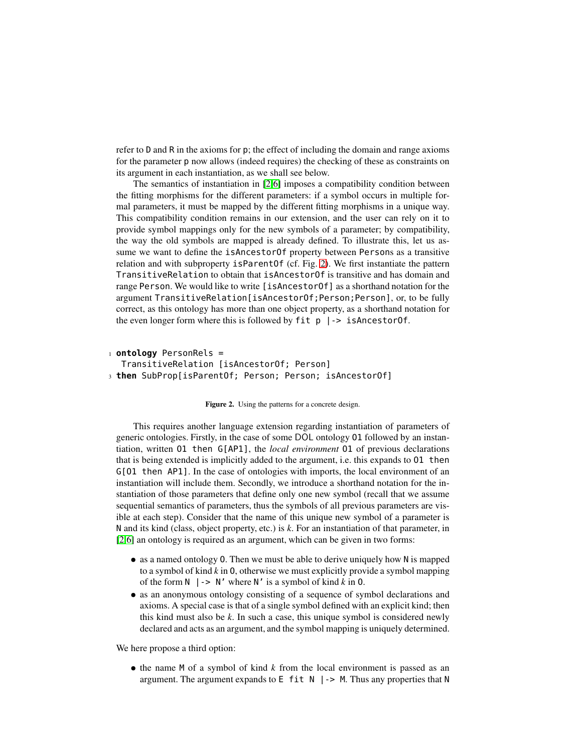refer to D and R in the axioms for p; the effect of including the domain and range axioms for the parameter p now allows (indeed requires) the checking of these as constraints on its argument in each instantiation, as we shall see below.

The semantics of instantiation in [2[,6\]](#page-10-2) imposes a compatibility condition between the fitting morphisms for the different parameters: if a symbol occurs in multiple formal parameters, it must be mapped by the different fitting morphisms in a unique way. This compatibility condition remains in our extension, and the user can rely on it to provide symbol mappings only for the new symbols of a parameter; by compatibility, the way the old symbols are mapped is already defined. To illustrate this, let us assume we want to define the isAncestorOf property between Persons as a transitive relation and with subproperty isParentOf (cf. Fig. [2\)](#page-3-0). We first instantiate the pattern TransitiveRelation to obtain that isAncestorOf is transitive and has domain and range Person. We would like to write [isAncestorOf] as a shorthand notation for the argument TransitiveRelation[isAncestorOf;Person;Person], or, to be fully correct, as this ontology has more than one object property, as a shorthand notation for the even longer form where this is followed by  $f$ it  $p$  |-> isAncestorOf.

```
1 ontology PersonRels =
  TransitiveRelation [isAncestorOf; Person]
3 then SubProp[isParentOf; Person; Person; isAncestorOf]
```
<span id="page-3-0"></span>Figure 2. Using the patterns for a concrete design.

This requires another language extension regarding instantiation of parameters of generic ontologies. Firstly, in the case of some DOL ontology O1 followed by an instantiation, written O1 then G[AP1], the *local environment* O1 of previous declarations that is being extended is implicitly added to the argument, i.e. this expands to O1 then G[O1 then AP1]. In the case of ontologies with imports, the local environment of an instantiation will include them. Secondly, we introduce a shorthand notation for the instantiation of those parameters that define only one new symbol (recall that we assume sequential semantics of parameters, thus the symbols of all previous parameters are visible at each step). Consider that the name of this unique new symbol of a parameter is N and its kind (class, object property, etc.) is *k*. For an instantiation of that parameter, in [2[,6\]](#page-10-2) an ontology is required as an argument, which can be given in two forms:

- as a named ontology O. Then we must be able to derive uniquely how N is mapped to a symbol of kind *k* in O, otherwise we must explicitly provide a symbol mapping of the form  $N \mid -\rangle N'$  where  $N'$  is a symbol of kind k in 0.
- as an anonymous ontology consisting of a sequence of symbol declarations and axioms. A special case is that of a single symbol defined with an explicit kind; then this kind must also be *k*. In such a case, this unique symbol is considered newly declared and acts as an argument, and the symbol mapping is uniquely determined.

We here propose a third option:

• the name M of a symbol of kind *k* from the local environment is passed as an argument. The argument expands to  $E$  fit  $N$  | -> M. Thus any properties that N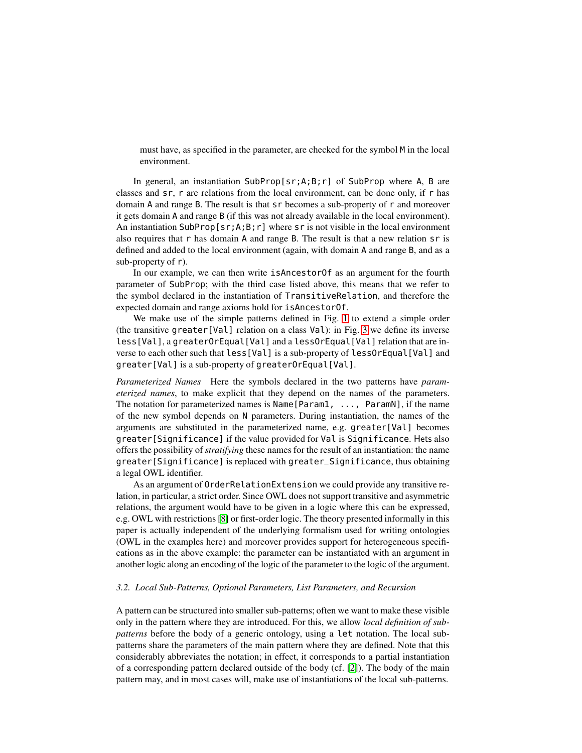must have, as specified in the parameter, are checked for the symbol M in the local environment.

In general, an instantiation SubProp[sr;A;B;r] of SubProp where A, B are classes and sr, r are relations from the local environment, can be done only, if r has domain A and range B. The result is that sr becomes a sub-property of r and moreover it gets domain A and range B (if this was not already available in the local environment). An instantiation  $\text{SubProp}[\text{sr};A;B; r]$  where  $\text{sr}$  is not visible in the local environment also requires that r has domain A and range B. The result is that a new relation sr is defined and added to the local environment (again, with domain A and range B, and as a sub-property of r).

In our example, we can then write isAncestorOf as an argument for the fourth parameter of SubProp; with the third case listed above, this means that we refer to the symbol declared in the instantiation of TransitiveRelation, and therefore the expected domain and range axioms hold for isAncestorOf.

We make use of the simple patterns defined in Fig. [1](#page-1-1) to extend a simple order (the transitive greater[Val] relation on a class Val): in Fig. [3](#page-5-0) we define its inverse less[Val], a greaterOrEqual[Val] and a lessOrEqual[Val] relation that are inverse to each other such that less [Val] is a sub-property of less0rEqual[Val] and greater[Val] is a sub-property of greaterOrEqual[Val].

*Parameterized Names* Here the symbols declared in the two patterns have *parameterized names*, to make explicit that they depend on the names of the parameters. The notation for parameterized names is Name[Param1, ..., ParamN], if the name of the new symbol depends on N parameters. During instantiation, the names of the arguments are substituted in the parameterized name, e.g. greater[Val] becomes greater[Significance] if the value provided for Val is Significance. Hets also offers the possibility of *stratifying* these names for the result of an instantiation: the name greater[Significance] is replaced with greater\_Significance, thus obtaining a legal OWL identifier.

As an argument of OrderRelationExtension we could provide any transitive relation, in particular, a strict order. Since OWL does not support transitive and asymmetric relations, the argument would have to be given in a logic where this can be expressed, e.g. OWL with restrictions [8] or first-order logic. The theory presented informally in this paper is actually independent of the underlying formalism used for writing ontologies (OWL in the examples here) and moreover provides support for heterogeneous specifications as in the above example: the parameter can be instantiated with an argument in another logic along an encoding of the logic of the parameter to the logic of the argument.

## *3.2. Local Sub-Patterns, Optional Parameters, List Parameters, and Recursion*

A pattern can be structured into smaller sub-patterns; often we want to make these visible only in the pattern where they are introduced. For this, we allow *local definition of subpatterns* before the body of a generic ontology, using a let notation. The local subpatterns share the parameters of the main pattern where they are defined. Note that this considerably abbreviates the notation; in effect, it corresponds to a partial instantiation of a corresponding pattern declared outside of the body (cf. [2]). The body of the main pattern may, and in most cases will, make use of instantiations of the local sub-patterns.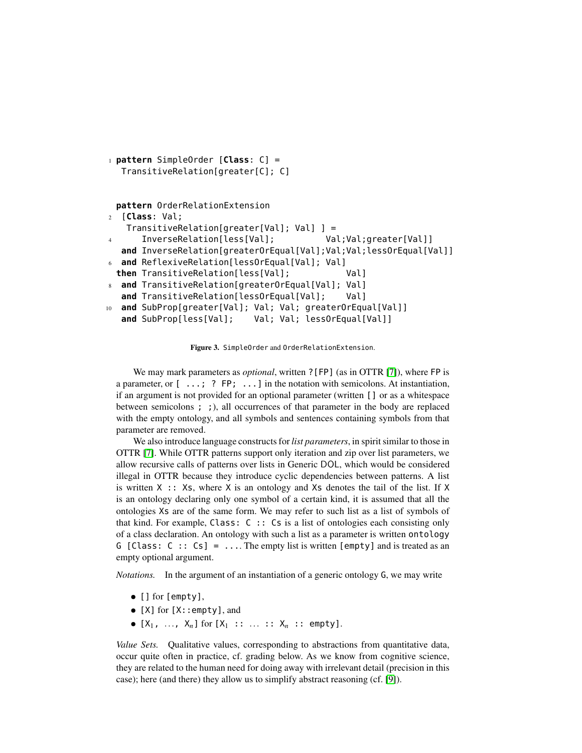```
1 pattern SimpleOrder [Class: C] =
  TransitiveRelation[greater[C]; C]
```
**pattern** OrderRelationExtension

```
2 [Class: Val;
   TransitiveRelation[greater[Val]; Val] ] =
      InverseRelation[less[Val]; Val;Val;greater[Val]]
  and InverseRelation[greaterOrEqual[Val];Val;Val;lessOrEqual[Val]]
  and ReflexiveRelation[less0rEqual[Val]; Val]
 then TransitiveRelation[less[Val]; Val]
  and TransitiveRelation[greaterOrEqual[Val]; Val]
  and TransitiveRelation[lessOrEqual[Val]; Val]
  and SubProp[greater[Val]; Val; Val; greaterOrEqual[Val]]
  and SubProp[less[Val]; Val; Val; lessOrEqual[Val]]
```
<span id="page-5-0"></span>Figure 3. SimpleOrder and OrderRelationExtension.

We may mark parameters as *optional*, written ?[FP] (as in OTTR [7]), where FP is a parameter, or  $\lceil \ldots \rceil$   $\lceil \cdots \rceil$   $\lceil \cdots \rceil$  in the notation with semicolons. At instantiation, if an argument is not provided for an optional parameter (written [] or as a whitespace between semicolons ; ;), all occurrences of that parameter in the body are replaced with the empty ontology, and all symbols and sentences containing symbols from that parameter are removed.

We also introduce language constructs for *list parameters*, in spirit similar to those in OTTR [7]. While OTTR patterns support only iteration and zip over list parameters, we allow recursive calls of patterns over lists in Generic DOL, which would be considered illegal in OTTR because they introduce cyclic dependencies between patterns. A list is written  $X : X$ , where X is an ontology and Xs denotes the tail of the list. If X is an ontology declaring only one symbol of a certain kind, it is assumed that all the ontologies Xs are of the same form. We may refer to such list as a list of symbols of that kind. For example, Class: C :: Cs is a list of ontologies each consisting only of a class declaration. An ontology with such a list as a parameter is written ontology G [Class: C :: Cs] =  $\dots$  The empty list is written [empty] and is treated as an empty optional argument.

*Notations.* In the argument of an instantiation of a generic ontology G, we may write

- [] for [empty],
- [X] for [X::empty], and
- $[X_1, \ldots, X_n]$  for  $[X_1 : \ldots : X_n : \ldots$  empty].

*Value Sets.* Qualitative values, corresponding to abstractions from quantitative data, occur quite often in practice, cf. grading below. As we know from cognitive science, they are related to the human need for doing away with irrelevant detail (precision in this case); here (and there) they allow us to simplify abstract reasoning (cf. [9]).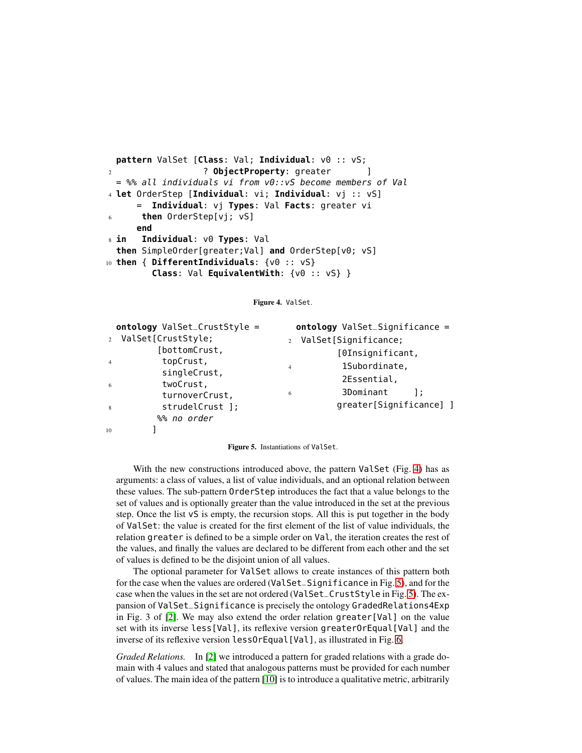```
pattern ValSet [Class: Val; Individual: v0 :: vS;
2 ? ObjectProperty: greater ]
 = %% all individuals vi from v0::vS become members of Val
4 let OrderStep [Individual: vi; Individual: vj :: vS]
        = Individual: vj Types: Val Facts: greater vi
6 then OrderStep[vj; vS]
     end
8 in Individual: v0 Types: Val
 then SimpleOrder[greater;Val] and OrderStep[v0; vS]
10 then { DifferentIndividuals: {v0 :: vS}
        Class: Val EquivalentWith: {v0 :: vS} }
```
<span id="page-6-0"></span>Figure 4. ValSet.

|                | ontology ValSet_CrustStyle = |                | ontology ValSet_Significance = |  |
|----------------|------------------------------|----------------|--------------------------------|--|
| $2^{\circ}$    | ValSet[CrustStyle;           |                | 2 ValSet[Significance;         |  |
|                | [bottomCrust,                |                | [OInsignificant,               |  |
| $\overline{4}$ | topCrust,                    | $\overline{4}$ | 1Subordinate,                  |  |
| -6             | singleCrust,<br>twoCrust,    |                | 2Essential,                    |  |
|                | turnoverCrust,               | 6              | 3Dominant                      |  |
| 8              | strudelCrust ];              |                | greater[Significance] ]        |  |
|                | %% no order                  |                |                                |  |
| 10             |                              |                |                                |  |

<span id="page-6-1"></span>Figure 5. Instantiations of ValSet.

With the new constructions introduced above, the pattern ValSet (Fig. [4\)](#page-6-0) has as arguments: a class of values, a list of value individuals, and an optional relation between these values. The sub-pattern OrderStep introduces the fact that a value belongs to the set of values and is optionally greater than the value introduced in the set at the previous step. Once the list vS is empty, the recursion stops. All this is put together in the body of ValSet: the value is created for the first element of the list of value individuals, the relation greater is defined to be a simple order on Val, the iteration creates the rest of the values, and finally the values are declared to be different from each other and the set of values is defined to be the disjoint union of all values.

The optional parameter for ValSet allows to create instances of this pattern both for the case when the values are ordered (ValSet\_Significance in Fig. [5\)](#page-6-1), and for the case when the values in the set are not ordered (ValSet\_CrustStyle in Fig. [5\)](#page-6-1). The expansion of ValSet\_Significance is precisely the ontology GradedRelations4Exp in Fig. 3 of [2]. We may also extend the order relation greater[Val] on the value set with its inverse less[Val], its reflexive version greaterOrEqual[Val] and the inverse of its reflexive version lessOrEqual[Val], as illustrated in Fig. [6.](#page-7-0)

*Graded Relations.* In [2] we introduced a pattern for graded relations with a grade domain with 4 values and stated that analogous patterns must be provided for each number of values. The main idea of the pattern [10] is to introduce a qualitative metric, arbitrarily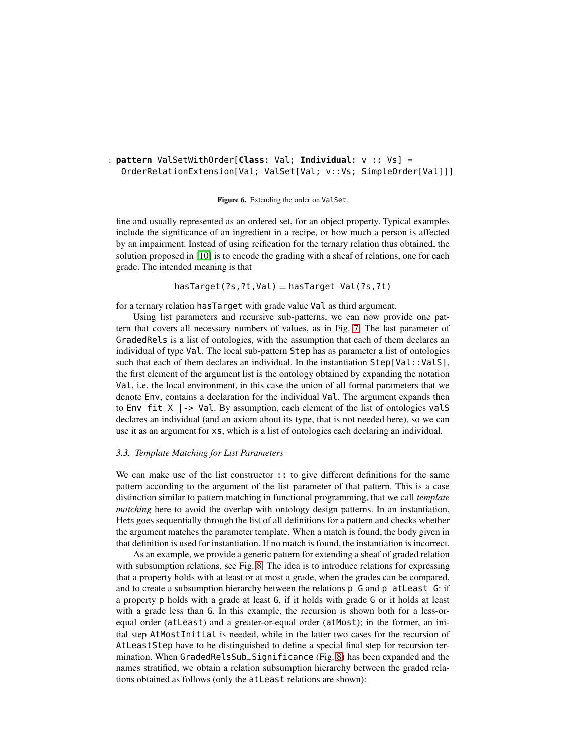# <sup>1</sup> **pattern** ValSetWithOrder[**Class**: Val; **Individual**: v :: Vs] = OrderRelationExtension[Val; ValSet[Val; v::Vs; SimpleOrder[Val]]]

<span id="page-7-0"></span>Figure 6. Extending the order on ValSet.

fine and usually represented as an ordered set, for an object property. Typical examples include the significance of an ingredient in a recipe, or how much a person is affected by an impairment. Instead of using reification for the ternary relation thus obtained, the solution proposed in [10] is to encode the grading with a sheaf of relations, one for each grade. The intended meaning is that

hasTarget(?s,?t,Val) ≡ hasTarget\_Val(?s,?t)

for a ternary relation hasTarget with grade value Val as third argument.

Using list parameters and recursive sub-patterns, we can now provide one pattern that covers all necessary numbers of values, as in Fig. [7.](#page-8-0) The last parameter of GradedRels is a list of ontologies, with the assumption that each of them declares an individual of type Val. The local sub-pattern Step has as parameter a list of ontologies such that each of them declares an individual. In the instantiation  $Step[Val::ValS]$ , the first element of the argument list is the ontology obtained by expanding the notation Val, i.e. the local environment, in this case the union of all formal parameters that we denote Env, contains a declaration for the individual Val. The argument expands then to Env fit  $X$  | -> Val. By assumption, each element of the list of ontologies valS declares an individual (and an axiom about its type, that is not needed here), so we can use it as an argument for xs, which is a list of ontologies each declaring an individual.

### *3.3. Template Matching for List Parameters*

We can make use of the list constructor :: to give different definitions for the same pattern according to the argument of the list parameter of that pattern. This is a case distinction similar to pattern matching in functional programming, that we call *template matching* here to avoid the overlap with ontology design patterns. In an instantiation, Hets goes sequentially through the list of all definitions for a pattern and checks whether the argument matches the parameter template. When a match is found, the body given in that definition is used for instantiation. If no match is found, the instantiation is incorrect.

As an example, we provide a generic pattern for extending a sheaf of graded relation with subsumption relations, see Fig. [8.](#page-9-0) The idea is to introduce relations for expressing that a property holds with at least or at most a grade, when the grades can be compared, and to create a subsumption hierarchy between the relations p\_G and p\_atLeast\_G: if a property p holds with a grade at least G, if it holds with grade G or it holds at least with a grade less than G. In this example, the recursion is shown both for a less-orequal order (atLeast) and a greater-or-equal order (atMost); in the former, an initial step AtMostInitial is needed, while in the latter two cases for the recursion of AtLeastStep have to be distinguished to define a special final step for recursion termination. When GradedRelsSub\_Significance (Fig. [8\)](#page-9-0) has been expanded and the names stratified, we obtain a relation subsumption hierarchy between the graded relations obtained as follows (only the atLeast relations are shown):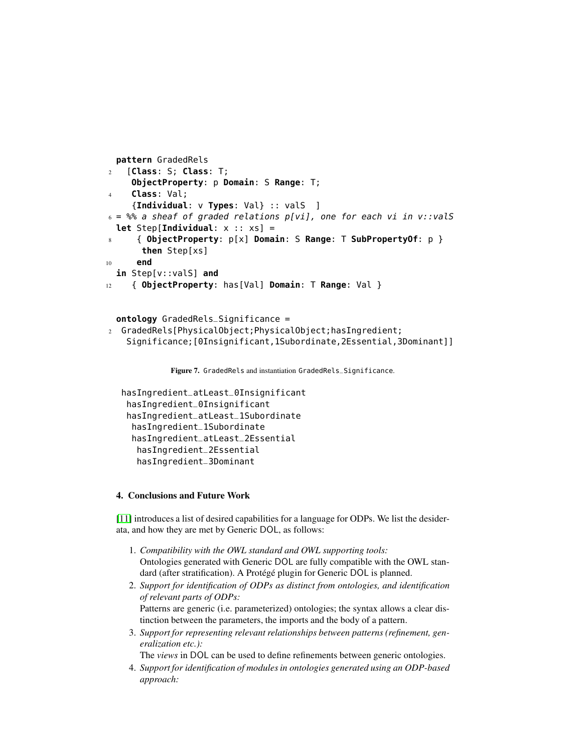```
pattern GradedRels
2 [Class: S; Class: T;
     ObjectProperty: p Domain: S Range: T;
4 Class: Val;
     {Individual: v Types: Val} :: valS ]
6 = %% a sheaf of graded relations p[vi], one for each vi in v::valS
  let Step[Individual: x :: xs] =
8 { ObjectProperty: p[x] Domain: S Range: T SubPropertyOf: p }
      then Step[xs]
10 end
  in Step[v::valS] and
12 { ObjectProperty: has[Val] Domain: T Range: Val }
```

```
ontology GradedRels_Significance =
2 GradedRels[PhysicalObject;PhysicalObject;hasIngredient;
   Significance;[0Insignificant,1Subordinate,2Essential,3Dominant]]
```

```
Figure 7. GradedRels and instantiation GradedRels_Significance.
```

```
hasIngredient_atLeast_0Insignificant
hasIngredient_0Insignificant
hasIngredient_atLeast_1Subordinate
 hasIngredient_1Subordinate
 hasIngredient_atLeast_2Essential
  hasIngredient_2Essential
  hasIngredient_3Dominant
```
## 4. Conclusions and Future Work

[11] introduces a list of desired capabilities for a language for ODPs. We list the desiderata, and how they are met by Generic DOL, as follows:

- 1. *Compatibility with the OWL standard and OWL supporting tools:* Ontologies generated with Generic DOL are fully compatible with the OWL standard (after stratification). A Protégé plugin for Generic DOL is planned.
- 2. *Support for identification of ODPs as distinct from ontologies, and identification of relevant parts of ODPs:* Patterns are generic (i.e. parameterized) ontologies; the syntax allows a clear distinction between the parameters, the imports and the body of a pattern.
- 3. *Support for representing relevant relationships between patterns (refinement, generalization etc.):*

The *views* in DOL can be used to define refinements between generic ontologies.

4. *Support for identification of modules in ontologies generated using an ODP-based approach:*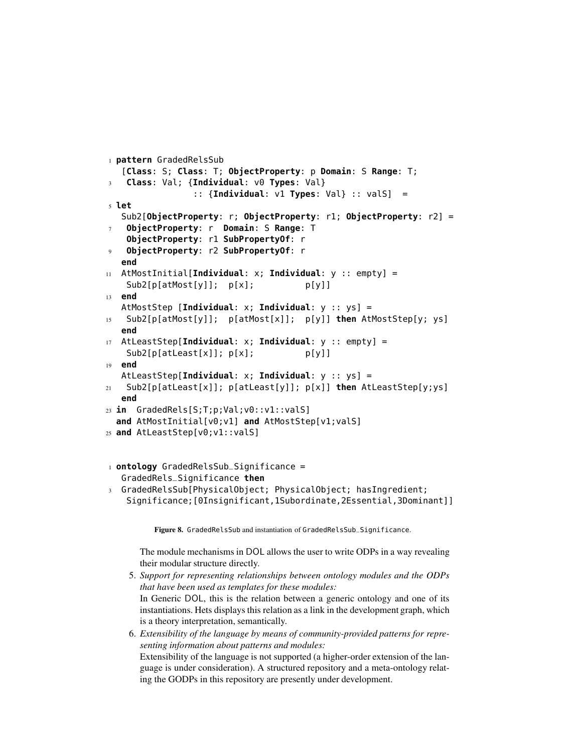```
1 pattern GradedRelsSub
   [Class: S; Class: T; ObjectProperty: p Domain: S Range: T;
   3 Class: Val; {Individual: v0 Types: Val}
                 :: {Individual: v1 Types: Val} :: valS] =
5 let
   Sub2[ObjectProperty: r; ObjectProperty: r1; ObjectProperty: r2] =
    7 ObjectProperty: r Domain: S Range: T
    ObjectProperty: r1 SubPropertyOf: r
9 ObjectProperty: r2 SubPropertyOf: r
   end
11 AtMostInitial[Individual: x; Individual: y :: empty] =
    Sub2[p[atMost[y]]; p[x]; p[y]]
13 end
  AtMostStep [Individual: x; Individual: y :: ys] =
15 Sub2[p[atMost[y]]; p[atMost[x]]; p[y]] then AtMostStep[y; ys]
   end
17 AtLeastStep[Individual: x; Individual: y :: empty] =
    Sub2[p[altleast[x]]; p[x]; p[y]]19 end
   AtLeastStep[Individual: x; Individual: y :: ys] =
21 Sub2[p[atLeast[x]]; p[atLeast[y]]; p[x]] then AtLeastStep[y;ys]
  end
23 in GradedRels[S;T;p;Val;v0::v1::valS]
  and AtMostInitial[v0;v1] and AtMostStep[v1;valS]
25 and AtLeastStep[v0;v1::valS]
1 ontology GradedRelsSub_Significance =
   GradedRels_Significance then
```
<sup>3</sup> GradedRelsSub[PhysicalObject; PhysicalObject; hasIngredient; Significance;[0Insignificant,1Subordinate,2Essential,3Dominant]]

<span id="page-9-0"></span>Figure 8. GradedRelsSub and instantiation of GradedRelsSub\_Significance.

The module mechanisms in DOL allows the user to write ODPs in a way revealing their modular structure directly.

- 5. *Support for representing relationships between ontology modules and the ODPs that have been used as templates for these modules:* In Generic DOL, this is the relation between a generic ontology and one of its instantiations. Hets displays this relation as a link in the development graph, which is a theory interpretation, semantically.
- 6. *Extensibility of the language by means of community-provided patterns for representing information about patterns and modules:* Extensibility of the language is not supported (a higher-order extension of the language is under consideration). A structured repository and a meta-ontology relating the GODPs in this repository are presently under development.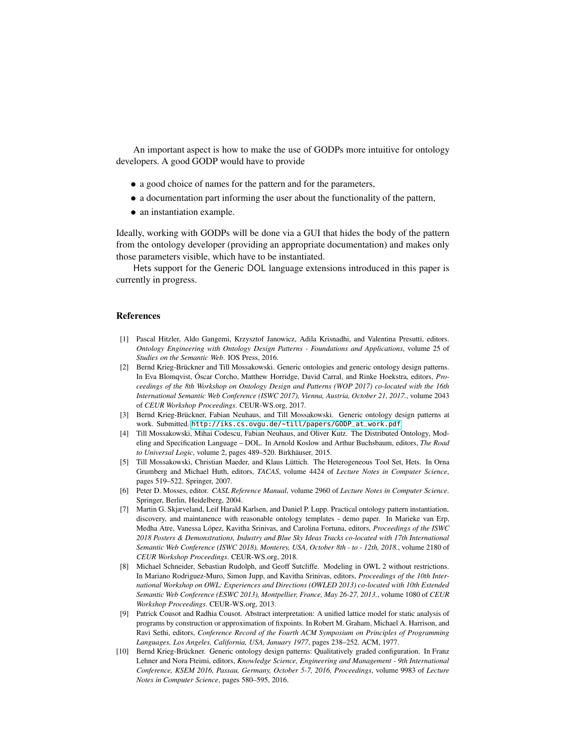An important aspect is how to make the use of GODPs more intuitive for ontology developers. A good GODP would have to provide

- a good choice of names for the pattern and for the parameters,
- a documentation part informing the user about the functionality of the pattern,
- an instantiation example.

Ideally, working with GODPs will be done via a GUI that hides the body of the pattern from the ontology developer (providing an appropriate documentation) and makes only those parameters visible, which have to be instantiated.

Hets support for the Generic DOL language extensions introduced in this paper is currently in progress.

#### **References**

- [1] Pascal Hitzler, Aldo Gangemi, Krzysztof Janowicz, Adila Krisnadhi, and Valentina Presutti, editors. *Ontology Engineering with Ontology Design Patterns - Foundations and Applications*, volume 25 of *Studies on the Semantic Web*. IOS Press, 2016.
- [2] Bernd Krieg-Brückner and Till Mossakowski. Generic ontologies and generic ontology design patterns. In Eva Blomqvist, Óscar Corcho, Matthew Horridge, David Carral, and Rinke Hoekstra, editors, *Proceedings of the 8th Workshop on Ontology Design and Patterns (WOP 2017) co-located with the 16th International Semantic Web Conference (ISWC 2017), Vienna, Austria, October 21, 2017.*, volume 2043 of *CEUR Workshop Proceedings*. CEUR-WS.org, 2017.
- <span id="page-10-0"></span>[3] Bernd Krieg-Brückner, Fabian Neuhaus, and Till Mossakowski. Generic ontology design patterns at work. Submitted. [http://iks.cs.ovgu.de/~till/papers/GODP\\_at\\_work.pdf](http://iks.cs.ovgu.de/~till/papers/GODP_at_work.pdf).
- <span id="page-10-1"></span>[4] Till Mossakowski, Mihai Codescu, Fabian Neuhaus, and Oliver Kutz. The Distributed Ontology, Modeling and Specification Language – DOL. In Arnold Koslow and Arthur Buchsbaum, editors, *The Road to Universal Logic*, volume 2, pages 489–520. Birkhäuser, 2015.
- [5] Till Mossakowski, Christian Maeder, and Klaus Lüttich. The Heterogeneous Tool Set, Hets. In Orna Grumberg and Michael Huth, editors, *TACAS*, volume 4424 of *Lecture Notes in Computer Science*, pages 519–522. Springer, 2007.
- <span id="page-10-2"></span>[6] Peter D. Mosses, editor. *CASL Reference Manual*, volume 2960 of *Lecture Notes in Computer Science*. Springer, Berlin, Heidelberg, 2004.
- [7] Martin G. Skjæveland, Leif Harald Karlsen, and Daniel P. Lupp. Practical ontology pattern instantiation, discovery, and maintanence with reasonable ontology templates - demo paper. In Marieke van Erp, Medha Atre, Vanessa López, Kavitha Srinivas, and Carolina Fortuna, editors, *Proceedings of the ISWC 2018 Posters & Demonstrations, Industry and Blue Sky Ideas Tracks co-located with 17th International Semantic Web Conference (ISWC 2018), Monterey, USA, October 8th - to - 12th, 2018.*, volume 2180 of *CEUR Workshop Proceedings*. CEUR-WS.org, 2018.
- [8] Michael Schneider, Sebastian Rudolph, and Geoff Sutcliffe. Modeling in OWL 2 without restrictions. In Mariano Rodriguez-Muro, Simon Jupp, and Kavitha Srinivas, editors, *Proceedings of the 10th International Workshop on OWL: Experiences and Directions (OWLED 2013) co-located with 10th Extended Semantic Web Conference (ESWC 2013), Montpellier, France, May 26-27, 2013.*, volume 1080 of *CEUR Workshop Proceedings*. CEUR-WS.org, 2013.
- [9] Patrick Cousot and Radhia Cousot. Abstract interpretation: A unified lattice model for static analysis of programs by construction or approximation of fixpoints. In Robert M. Graham, Michael A. Harrison, and Ravi Sethi, editors, *Conference Record of the Fourth ACM Symposium on Principles of Programming Languages, Los Angeles, California, USA, January 1977*, pages 238–252. ACM, 1977.
- [10] Bernd Krieg-Brückner. Generic ontology design patterns: Qualitatively graded configuration. In Franz Lehner and Nora Fteimi, editors, *Knowledge Science, Engineering and Management - 9th International Conference, KSEM 2016, Passau, Germany, October 5-7, 2016, Proceedings*, volume 9983 of *Lecture Notes in Computer Science*, pages 580–595, 2016.